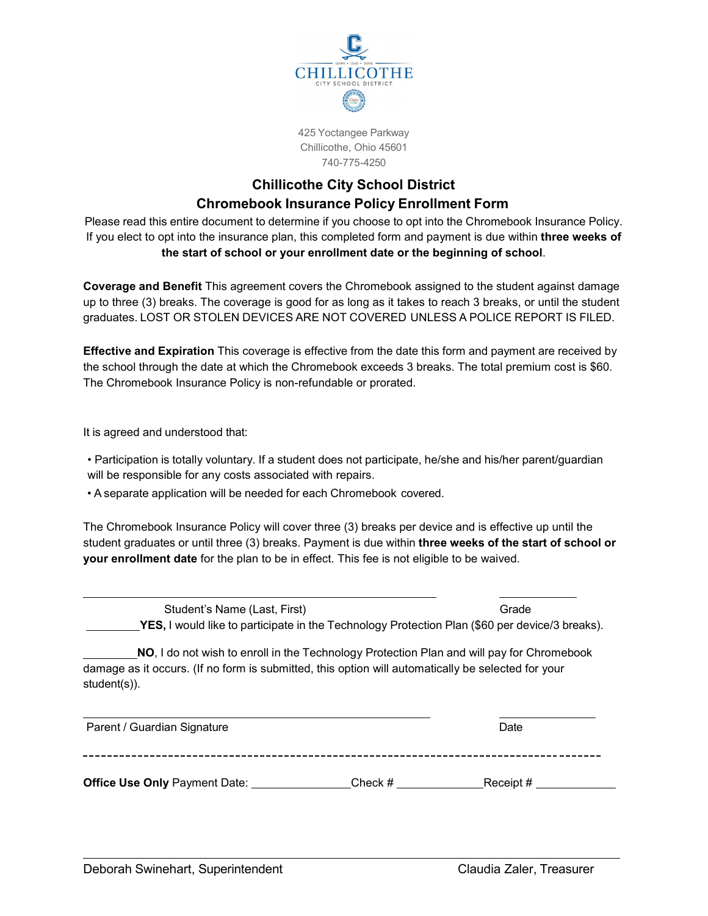

425 Yoctangee Parkway Chillicothe, Ohio 45601 740-775-4250

## **Chillicothe City School District Chromebook Insurance Policy Enrollment Form**

Please read this entire document to determine if you choose to opt into the Chromebook Insurance Policy. If you elect to opt into the insurance plan, this completed form and payment is due within **three weeks of the start of school or your enrollment date or the beginning of school**.

**Coverage and Benefit** This agreement covers the Chromebook assigned to the student against damage up to three (3) breaks. The coverage is good for as long as it takes to reach 3 breaks, or until the student graduates. LOST OR STOLEN DEVICES ARE NOT COVERED UNLESS A POLICE REPORT IS FILED.

**Effective and Expiration** This coverage is effective from the date this form and payment are received by the school through the date at which the Chromebook exceeds 3 breaks. The total premium cost is \$60. The Chromebook Insurance Policy is non-refundable or prorated.

It is agreed and understood that:

• Participation is totally voluntary. If a student does not participate, he/she and his/her parent/guardian will be responsible for any costs associated with repairs.

• A separate application will be needed for each Chromebook covered.

The Chromebook Insurance Policy will cover three (3) breaks per device and is effective up until the student graduates or until three (3) breaks. Payment is due within **three weeks of the start of school or your enrollment date** for the plan to be in effect. This fee is not eligible to be waived.

Student's Name (Last, First) Grade **YES,** I would like to participate in the Technology Protection Plan (\$60 per device/3 breaks).

**NO**, I do not wish to enroll in the Technology Protection Plan and will pay for Chromebook damage as it occurs. (If no form is submitted, this option will automatically be selected for your student(s)).

| Parent / Guardian Signature          |           | Date     |
|--------------------------------------|-----------|----------|
|                                      |           |          |
| <b>Office Use Only Payment Date:</b> | Check $#$ | Receipt# |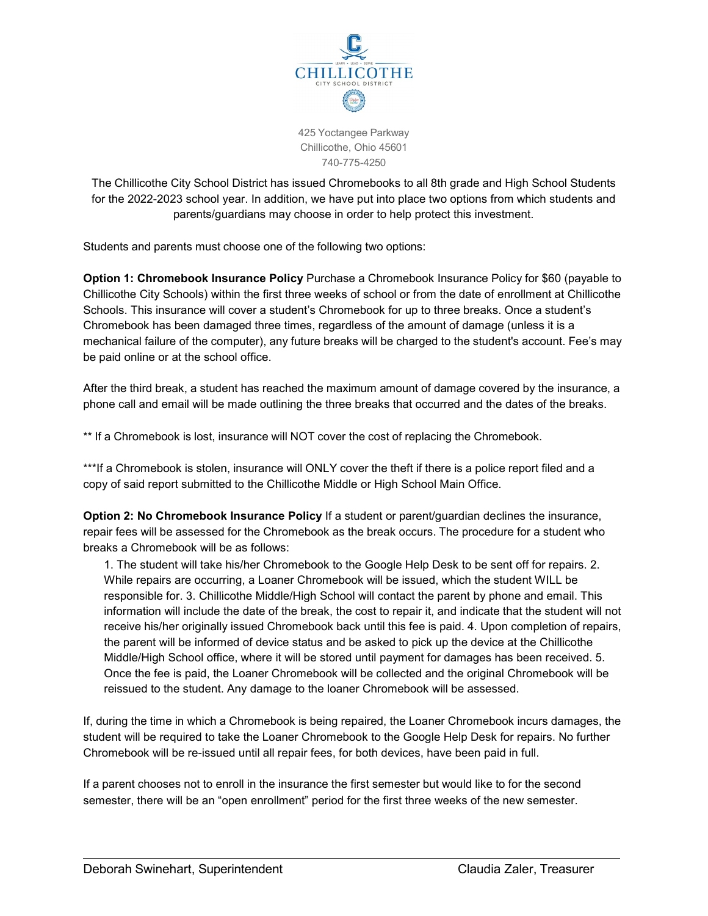

425 Yoctangee Parkway Chillicothe, Ohio 45601 740-775-4250

The Chillicothe City School District has issued Chromebooks to all 8th grade and High School Students for the 2022-2023 school year. In addition, we have put into place two options from which students and parents/guardians may choose in order to help protect this investment.

Students and parents must choose one of the following two options:

**Option 1: Chromebook Insurance Policy** Purchase a Chromebook Insurance Policy for \$60 (payable to Chillicothe City Schools) within the first three weeks of school or from the date of enrollment at Chillicothe Schools. This insurance will cover a student's Chromebook for up to three breaks. Once a student's Chromebook has been damaged three times, regardless of the amount of damage (unless it is a mechanical failure of the computer), any future breaks will be charged to the student's account. Fee's may be paid online or at the school office.

After the third break, a student has reached the maximum amount of damage covered by the insurance, a phone call and email will be made outlining the three breaks that occurred and the dates of the breaks.

\*\* If a Chromebook is lost, insurance will NOT cover the cost of replacing the Chromebook.

\*\*\*If a Chromebook is stolen, insurance will ONLY cover the theft if there is a police report filed and a copy of said report submitted to the Chillicothe Middle or High School Main Office.

**Option 2: No Chromebook Insurance Policy** If a student or parent/guardian declines the insurance, repair fees will be assessed for the Chromebook as the break occurs. The procedure for a student who breaks a Chromebook will be as follows:

1. The student will take his/her Chromebook to the Google Help Desk to be sent off for repairs. 2. While repairs are occurring, a Loaner Chromebook will be issued, which the student WILL be responsible for. 3. Chillicothe Middle/High School will contact the parent by phone and email. This information will include the date of the break, the cost to repair it, and indicate that the student will not receive his/her originally issued Chromebook back until this fee is paid. 4. Upon completion of repairs, the parent will be informed of device status and be asked to pick up the device at the Chillicothe Middle/High School office, where it will be stored until payment for damages has been received. 5. Once the fee is paid, the Loaner Chromebook will be collected and the original Chromebook will be reissued to the student. Any damage to the loaner Chromebook will be assessed.

If, during the time in which a Chromebook is being repaired, the Loaner Chromebook incurs damages, the student will be required to take the Loaner Chromebook to the Google Help Desk for repairs. No further Chromebook will be re-issued until all repair fees, for both devices, have been paid in full.

If a parent chooses not to enroll in the insurance the first semester but would like to for the second semester, there will be an "open enrollment" period for the first three weeks of the new semester.